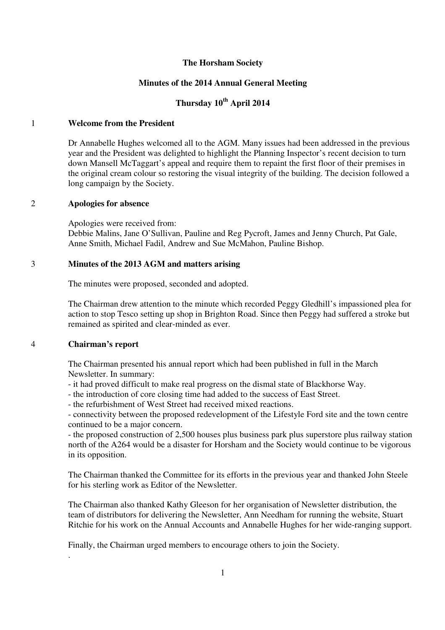# **The Horsham Society**

# **Minutes of the 2014 Annual General Meeting**

# **Thursday 10th April 2014**

# 1 **Welcome from the President**

Dr Annabelle Hughes welcomed all to the AGM. Many issues had been addressed in the previous year and the President was delighted to highlight the Planning Inspector's recent decision to turn down Mansell McTaggart's appeal and require them to repaint the first floor of their premises in the original cream colour so restoring the visual integrity of the building. The decision followed a long campaign by the Society.

#### 2 **Apologies for absence**

Apologies were received from:

Debbie Malins, Jane O'Sullivan, Pauline and Reg Pycroft, James and Jenny Church, Pat Gale, Anne Smith, Michael Fadil, Andrew and Sue McMahon, Pauline Bishop.

#### 3 **Minutes of the 2013 AGM and matters arising**

The minutes were proposed, seconded and adopted.

The Chairman drew attention to the minute which recorded Peggy Gledhill's impassioned plea for action to stop Tesco setting up shop in Brighton Road. Since then Peggy had suffered a stroke but remained as spirited and clear-minded as ever.

#### 4 **Chairman's report**

.

The Chairman presented his annual report which had been published in full in the March Newsletter. In summary:

- it had proved difficult to make real progress on the dismal state of Blackhorse Way.
- the introduction of core closing time had added to the success of East Street.
- the refurbishment of West Street had received mixed reactions.

- connectivity between the proposed redevelopment of the Lifestyle Ford site and the town centre continued to be a major concern.

- the proposed construction of 2,500 houses plus business park plus superstore plus railway station north of the A264 would be a disaster for Horsham and the Society would continue to be vigorous in its opposition.

The Chairman thanked the Committee for its efforts in the previous year and thanked John Steele for his sterling work as Editor of the Newsletter.

The Chairman also thanked Kathy Gleeson for her organisation of Newsletter distribution, the team of distributors for delivering the Newsletter, Ann Needham for running the website, Stuart Ritchie for his work on the Annual Accounts and Annabelle Hughes for her wide-ranging support.

Finally, the Chairman urged members to encourage others to join the Society.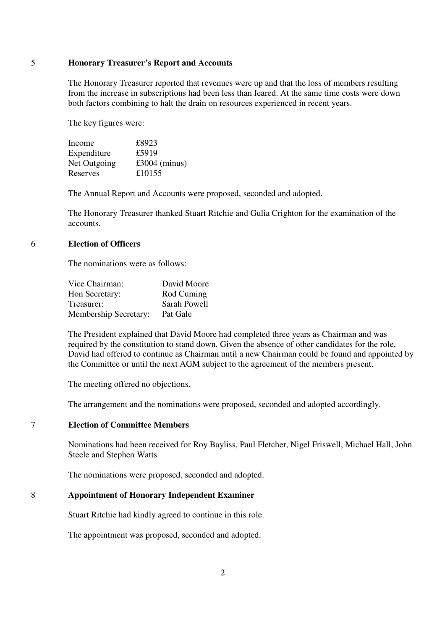### 5 **Honorary Treasurer's Report and Accounts**

The Honorary Treasurer reported that revenues were up and that the loss of members resulting from the increase in subscriptions had been less than feared. At the same time costs were down both factors combining to halt the drain on resources experienced in recent years.

The key figures were:

| Income       | £8923           |
|--------------|-----------------|
| Expenditure  | £5919           |
| Net Outgoing | $£3004$ (minus) |
| Reserves     | £10155          |

The Annual Report and Accounts were proposed, seconded and adopted.

The Honorary Treasurer thanked Stuart Ritchie and Gulia Crighton for the examination of the accounts.

#### 6 **Election of Officers**

The nominations were as follows:

| Vice Chairman:               | David Moore  |
|------------------------------|--------------|
| Hon Secretary:               | Rod Cuming   |
| Treasurer:                   | Sarah Powell |
| <b>Membership Secretary:</b> | Pat Gale     |

The President explained that David Moore had completed three years as Chairman and was required by the constitution to stand down. Given the absence of other candidates for the role, David had offered to continue as Chairman until a new Chairman could be found and appointed by the Committee or until the next AGM subject to the agreement of the members present.

The meeting offered no objections.

The arrangement and the nominations were proposed, seconded and adopted accordingly.

## 7 **Election of Committee Members**

Nominations had been received for Roy Bayliss, Paul Fletcher, Nigel Friswell, Michael Hall, John Steele and Stephen Watts

The nominations were proposed, seconded and adopted.

# 8 **Appointment of Honorary Independent Examiner**

Stuart Ritchie had kindly agreed to continue in this role.

The appointment was proposed, seconded and adopted.